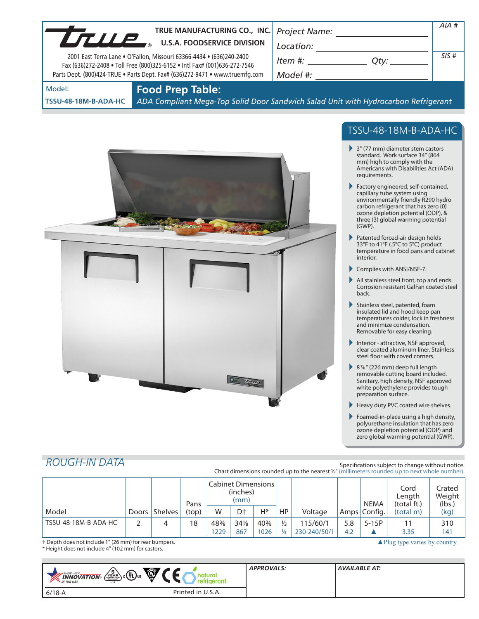| UTULE                          | TRUE MANUFACTURING CO., INC.<br><b>U.S.A. FOODSERVICE DIVISION</b><br>2001 East Terra Lane . O'Fallon, Missouri 63366-4434 . (636)240-2400<br>Fax (636)272-2408 . Toll Free (800)325-6152 . Intl Fax# (001)636-272-7546<br>Parts Dept. (800)424-TRUE . Parts Dept. Fax# (636)272-9471 . www.truemfg.com | Project Name:<br>Location:<br>Item #:<br>Qty: $\rule{0pt}{0pt}$<br>Model #:        | AIA#<br>SIS# |
|--------------------------------|---------------------------------------------------------------------------------------------------------------------------------------------------------------------------------------------------------------------------------------------------------------------------------------------------------|------------------------------------------------------------------------------------|--------------|
| Model:<br>TSSU-48-18M-B-ADA-HC | <b>Food Prep Table:</b>                                                                                                                                                                                                                                                                                 | ADA Compliant Mega-Top Solid Door Sandwich Salad Unit with Hydrocarbon Refrigerant |              |



# TSSU-48-18M-B-ADA-HC

- 3" (77 mm) diameter stem castors standard. Work surface 34" (864 mm) high to comply with the Americans with Disabilities Act (ADA) requirements.
- Factory engineered, self-contained, capillary tube system using environmentally friendly R290 hydro carbon refrigerant that has zero (0) ozone depletion potential (ODP), & three (3) global warming potential (GWP).
- Patented forced-air design holds 33°F to 41°F (.5°C to 5°C) product temperature in food pans and cabinet interior.
- Complies with ANSI/NSF-7.
- All stainless steel front, top and ends. Corrosion resistant GalFan coated steel back.
- Stainless steel, patented, foam insulated lid and hood keep pan temperatures colder, lock in freshness and minimize condensation. Removable for easy cleaning.
- Interior attractive, NSF approved, clear coated aluminum liner. Stainless steel floor with coved corners.
- 87/8" (226 mm) deep full length removable cutting board included. Sanitary, high density, NSF approved white polyethylene provides tough preparation surface.
- Heavy duty PVC coated wire shelves.
- Foamed-in-place using a high density, polyurethane insulation that has zero ozone depletion potential (ODP) and zero global warming potential (GWP).

▲ Plug type varies by country.

# *ROUGH-IN DATA*

#### Specifications subject to change without notice. Chart dimensions rounded up to the nearest %" (millimeters rounded up to next whole number).

|                      |       |                | Pans  | <b>Cabinet Dimensions</b><br>(inches)<br>(mm) |     |        |               |              | <b>NEMA</b> | Cord<br>Length<br>(total ft.) | Crated<br>Weight<br>(lbs.) |      |
|----------------------|-------|----------------|-------|-----------------------------------------------|-----|--------|---------------|--------------|-------------|-------------------------------|----------------------------|------|
| Model                | Doors | <b>Shelves</b> | (top) | W                                             | Dt  | H*     | HP            | Voltage      |             | Amps Config.                  | (total m)                  | (kg) |
| TSSU-48-18M-B-ADA-HC |       | 4              | 18    | 48%                                           | 34% | $40\%$ | $\frac{1}{3}$ | 115/60/1     | 5.8         | $5-15P$                       |                            | 310  |
|                      |       |                |       | 1229                                          | 867 | 1026   | $\frac{1}{2}$ | 230-240/50/1 | 4.2         |                               | 3.35                       | 141  |

† Depth does not include 1" (26 mm) for rear bumpers.

\* Height does not include 4" (102 mm) for castors.

| <b>MADE WITH_</b><br><b>INNOVATION</b><br><b>N</b> . IN THE USA | $\circledcirc$<br>$\sqrt{\frac{5}{2}}$ $c$ $\left(\frac{1}{2}\right)$ us<br><b>USA</b> | <b>APPROVALS:</b> | AVAILABLE AT: |
|-----------------------------------------------------------------|----------------------------------------------------------------------------------------|-------------------|---------------|
| $6/18 - A$                                                      | Printed in U.S.A.                                                                      |                   |               |